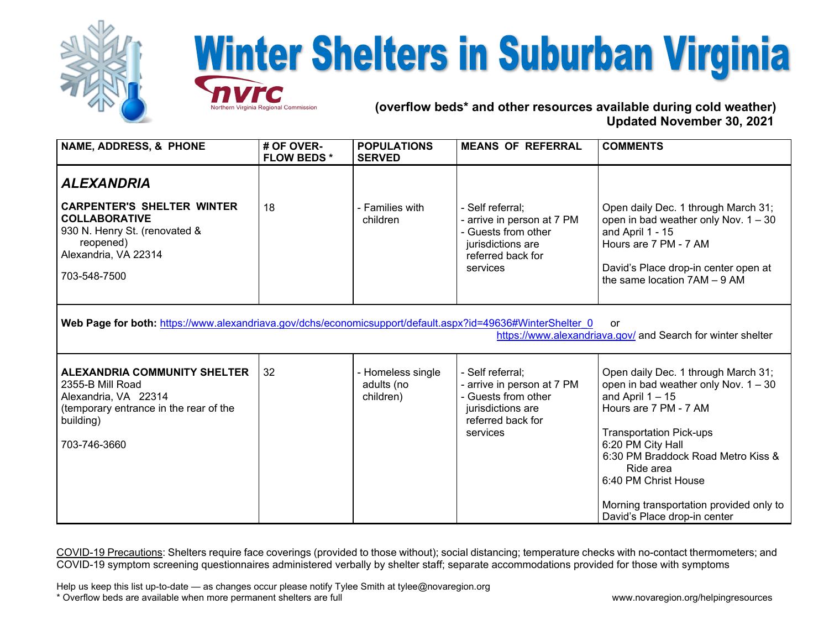

## **Winter Shelters in Suburban Virginia**

 **(overflow beds\* and other resources available during cold weather) Updated November 30, 2021** 

| <b>NAME, ADDRESS, &amp; PHONE</b>                                                                                                                                               | # OF OVER-<br><b>FLOW BEDS*</b> | <b>POPULATIONS</b><br><b>SERVED</b>          | <b>MEANS OF REFERRAL</b>                                                                                                    | <b>COMMENTS</b>                                                                                                                                                                                                                                                                                                                           |  |  |
|---------------------------------------------------------------------------------------------------------------------------------------------------------------------------------|---------------------------------|----------------------------------------------|-----------------------------------------------------------------------------------------------------------------------------|-------------------------------------------------------------------------------------------------------------------------------------------------------------------------------------------------------------------------------------------------------------------------------------------------------------------------------------------|--|--|
| <b>ALEXANDRIA</b><br><b>CARPENTER'S SHELTER WINTER</b><br><b>COLLABORATIVE</b><br>930 N. Henry St. (renovated &<br>reopened)<br>Alexandria, VA 22314<br>703-548-7500            | 18                              | - Families with<br>children                  | - Self referral;<br>- arrive in person at 7 PM<br>- Guests from other<br>jurisdictions are<br>referred back for<br>services | Open daily Dec. 1 through March 31;<br>open in bad weather only Nov. $1 - 30$<br>and April 1 - 15<br>Hours are 7 PM - 7 AM<br>David's Place drop-in center open at<br>the same location 7AM - 9 AM                                                                                                                                        |  |  |
| Web Page for both: https://www.alexandriava.gov/dchs/economicsupport/default.aspx?id=49636#WinterShelter 0<br>or<br>https://www.alexandriava.gov/ and Search for winter shelter |                                 |                                              |                                                                                                                             |                                                                                                                                                                                                                                                                                                                                           |  |  |
| ALEXANDRIA COMMUNITY SHELTER<br>2355-B Mill Road<br>Alexandria, VA 22314<br>(temporary entrance in the rear of the<br>building)<br>703-746-3660                                 | 32                              | - Homeless single<br>adults (no<br>children) | - Self referral;<br>- arrive in person at 7 PM<br>- Guests from other<br>jurisdictions are<br>referred back for<br>services | Open daily Dec. 1 through March 31;<br>open in bad weather only Nov. $1 - 30$<br>and April $1 - 15$<br>Hours are 7 PM - 7 AM<br><b>Transportation Pick-ups</b><br>6:20 PM City Hall<br>6:30 PM Braddock Road Metro Kiss &<br>Ride area<br>6:40 PM Christ House<br>Morning transportation provided only to<br>David's Place drop-in center |  |  |

COVID-19 Precautions: Shelters require face coverings (provided to those without); social distancing; temperature checks with no-contact thermometers; and COVID-19 symptom screening questionnaires administered verbally by shelter staff; separate accommodations provided for those with symptoms

Help us keep this list up-to-date — as changes occur please notify Tylee Smith at tylee@novaregion.org \* Overflow beds are available when more permanent shelters are full www.novaregion.org/helpingresources

Virginia Regional Commission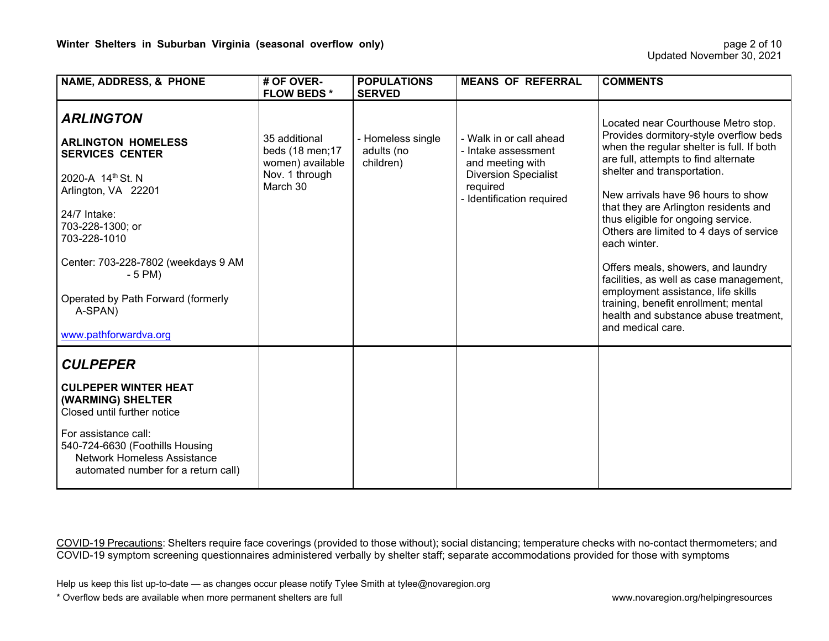| <b>NAME, ADDRESS, &amp; PHONE</b>                                                                                                                                                                                                                                                                       | # OF OVER-<br><b>FLOW BEDS*</b>                                                     | <b>POPULATIONS</b><br><b>SERVED</b>          | <b>MEANS OF REFERRAL</b>                                                                                                                   | <b>COMMENTS</b>                                                                                                                                                                                                                                                                                                                                                                                                                                                                                                                                                                                                |
|---------------------------------------------------------------------------------------------------------------------------------------------------------------------------------------------------------------------------------------------------------------------------------------------------------|-------------------------------------------------------------------------------------|----------------------------------------------|--------------------------------------------------------------------------------------------------------------------------------------------|----------------------------------------------------------------------------------------------------------------------------------------------------------------------------------------------------------------------------------------------------------------------------------------------------------------------------------------------------------------------------------------------------------------------------------------------------------------------------------------------------------------------------------------------------------------------------------------------------------------|
| <b>ARLINGTON</b><br><b>ARLINGTON HOMELESS</b><br><b>SERVICES CENTER</b><br>2020-A 14th St. N<br>Arlington, VA 22201<br>24/7 Intake:<br>703-228-1300; or<br>703-228-1010<br>Center: 703-228-7802 (weekdays 9 AM<br>$-5$ PM $)$<br>Operated by Path Forward (formerly<br>A-SPAN)<br>www.pathforwardva.org | 35 additional<br>beds (18 men; 17<br>women) available<br>Nov. 1 through<br>March 30 | - Homeless single<br>adults (no<br>children) | - Walk in or call ahead<br>- Intake assessment<br>and meeting with<br><b>Diversion Specialist</b><br>required<br>- Identification required | Located near Courthouse Metro stop.<br>Provides dormitory-style overflow beds<br>when the regular shelter is full. If both<br>are full, attempts to find alternate<br>shelter and transportation.<br>New arrivals have 96 hours to show<br>that they are Arlington residents and<br>thus eligible for ongoing service.<br>Others are limited to 4 days of service<br>each winter.<br>Offers meals, showers, and laundry<br>facilities, as well as case management,<br>employment assistance, life skills<br>training, benefit enrollment; mental<br>health and substance abuse treatment.<br>and medical care. |
| <b>CULPEPER</b><br><b>CULPEPER WINTER HEAT</b><br>(WARMING) SHELTER<br>Closed until further notice<br>For assistance call:<br>540-724-6630 (Foothills Housing<br><b>Network Homeless Assistance</b><br>automated number for a return call)                                                              |                                                                                     |                                              |                                                                                                                                            |                                                                                                                                                                                                                                                                                                                                                                                                                                                                                                                                                                                                                |

Help us keep this list up-to-date — as changes occur please notify Tylee Smith at tylee@novaregion.org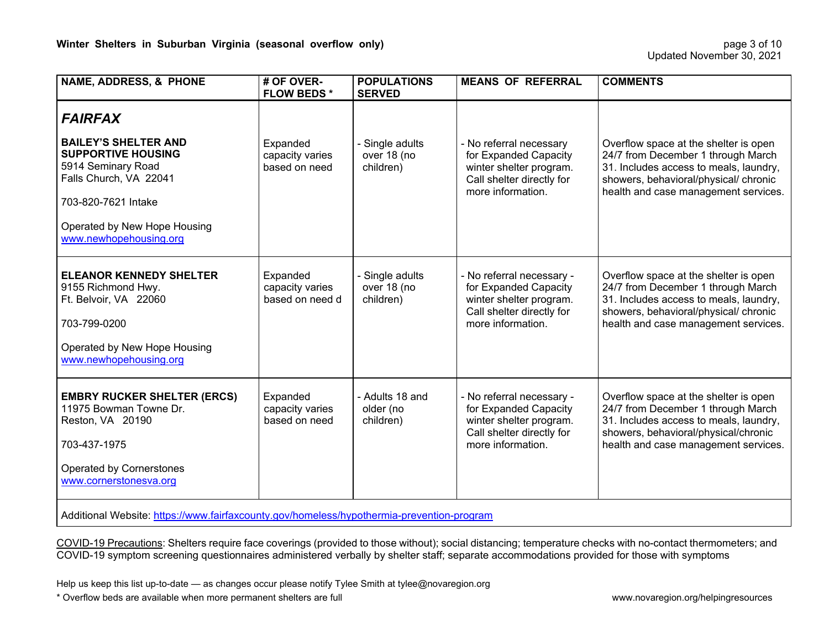| <b>NAME, ADDRESS, &amp; PHONE</b>                                                                                                                                                         | # OF OVER-<br><b>FLOW BEDS*</b>                | <b>POPULATIONS</b><br><b>SERVED</b>         | <b>MEANS OF REFERRAL</b>                                                                                                        | <b>COMMENTS</b>                                                                                                                                                                                        |  |  |  |
|-------------------------------------------------------------------------------------------------------------------------------------------------------------------------------------------|------------------------------------------------|---------------------------------------------|---------------------------------------------------------------------------------------------------------------------------------|--------------------------------------------------------------------------------------------------------------------------------------------------------------------------------------------------------|--|--|--|
| <b>FAIRFAX</b>                                                                                                                                                                            |                                                |                                             |                                                                                                                                 |                                                                                                                                                                                                        |  |  |  |
| <b>BAILEY'S SHELTER AND</b><br><b>SUPPORTIVE HOUSING</b><br>5914 Seminary Road<br>Falls Church, VA 22041<br>703-820-7621 Intake<br>Operated by New Hope Housing<br>www.newhopehousing.org | Expanded<br>capacity varies<br>based on need   | - Single adults<br>over 18 (no<br>children) | - No referral necessary<br>for Expanded Capacity<br>winter shelter program.<br>Call shelter directly for<br>more information.   | Overflow space at the shelter is open<br>24/7 from December 1 through March<br>31. Includes access to meals, laundry,<br>showers, behavioral/physical/ chronic<br>health and case management services. |  |  |  |
| <b>ELEANOR KENNEDY SHELTER</b><br>9155 Richmond Hwy.<br>Ft. Belvoir, VA 22060<br>703-799-0200<br>Operated by New Hope Housing<br>www.newhopehousing.org                                   | Expanded<br>capacity varies<br>based on need d | - Single adults<br>over 18 (no<br>children) | - No referral necessary -<br>for Expanded Capacity<br>winter shelter program.<br>Call shelter directly for<br>more information. | Overflow space at the shelter is open<br>24/7 from December 1 through March<br>31. Includes access to meals, laundry,<br>showers, behavioral/physical/ chronic<br>health and case management services. |  |  |  |
| <b>EMBRY RUCKER SHELTER (ERCS)</b><br>11975 Bowman Towne Dr.<br>Reston, VA 20190<br>703-437-1975<br>Operated by Cornerstones<br>www.cornerstonesva.org                                    | Expanded<br>capacity varies<br>based on need   | - Adults 18 and<br>older (no<br>children)   | - No referral necessary -<br>for Expanded Capacity<br>winter shelter program.<br>Call shelter directly for<br>more information. | Overflow space at the shelter is open<br>24/7 from December 1 through March<br>31. Includes access to meals, laundry,<br>showers, behavioral/physical/chronic<br>health and case management services.  |  |  |  |
| Additional Website: https://www.fairfaxcounty.gov/homeless/hypothermia-prevention-program                                                                                                 |                                                |                                             |                                                                                                                                 |                                                                                                                                                                                                        |  |  |  |

Help us keep this list up-to-date — as changes occur please notify Tylee Smith at tylee@novaregion.org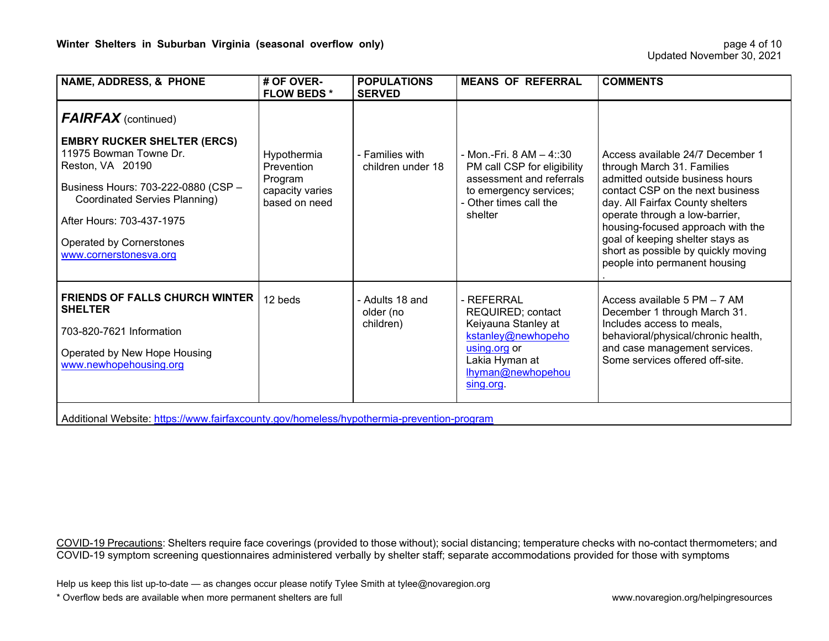| <b>NAME, ADDRESS, &amp; PHONE</b>                                                                                                                                                                                                                                                | # OF OVER-<br><b>FLOW BEDS*</b>                                          | <b>POPULATIONS</b><br><b>SERVED</b>       | <b>MEANS OF REFERRAL</b>                                                                                                                             | <b>COMMENTS</b>                                                                                                                                                                                                                                                                                                                                              |
|----------------------------------------------------------------------------------------------------------------------------------------------------------------------------------------------------------------------------------------------------------------------------------|--------------------------------------------------------------------------|-------------------------------------------|------------------------------------------------------------------------------------------------------------------------------------------------------|--------------------------------------------------------------------------------------------------------------------------------------------------------------------------------------------------------------------------------------------------------------------------------------------------------------------------------------------------------------|
| <b>FAIRFAX</b> (continued)<br><b>EMBRY RUCKER SHELTER (ERCS)</b><br>11975 Bowman Towne Dr.<br>Reston, VA 20190<br>Business Hours: 703-222-0880 (CSP -<br><b>Coordinated Servies Planning)</b><br>After Hours: 703-437-1975<br>Operated by Cornerstones<br>www.cornerstonesva.org | Hypothermia<br>Prevention<br>Program<br>capacity varies<br>based on need | - Families with<br>children under 18      | - Mon.-Fri. $8 AM - 4::30$<br>PM call CSP for eligibility<br>assessment and referrals<br>to emergency services;<br>- Other times call the<br>shelter | Access available 24/7 December 1<br>through March 31. Families<br>admitted outside business hours<br>contact CSP on the next business<br>day. All Fairfax County shelters<br>operate through a low-barrier,<br>housing-focused approach with the<br>goal of keeping shelter stays as<br>short as possible by quickly moving<br>people into permanent housing |
| <b>FRIENDS OF FALLS CHURCH WINTER</b><br><b>SHELTER</b><br>703-820-7621 Information<br>Operated by New Hope Housing<br>www.newhopehousing.org<br>Additional Website: https://www.fairfaxcounty.gov/homeless/hypothermia-prevention-program                                       | 12 beds                                                                  | - Adults 18 and<br>older (no<br>children) | - REFERRAL<br>REQUIRED; contact<br>Keiyauna Stanley at<br>kstanley@newhopeho<br>using.org or<br>Lakia Hyman at<br>lhyman@newhopehou<br>sing.org.     | Access available 5 PM - 7 AM<br>December 1 through March 31.<br>Includes access to meals,<br>behavioral/physical/chronic health,<br>and case management services.<br>Some services offered off-site.                                                                                                                                                         |

Help us keep this list up-to-date — as changes occur please notify Tylee Smith at tylee@novaregion.org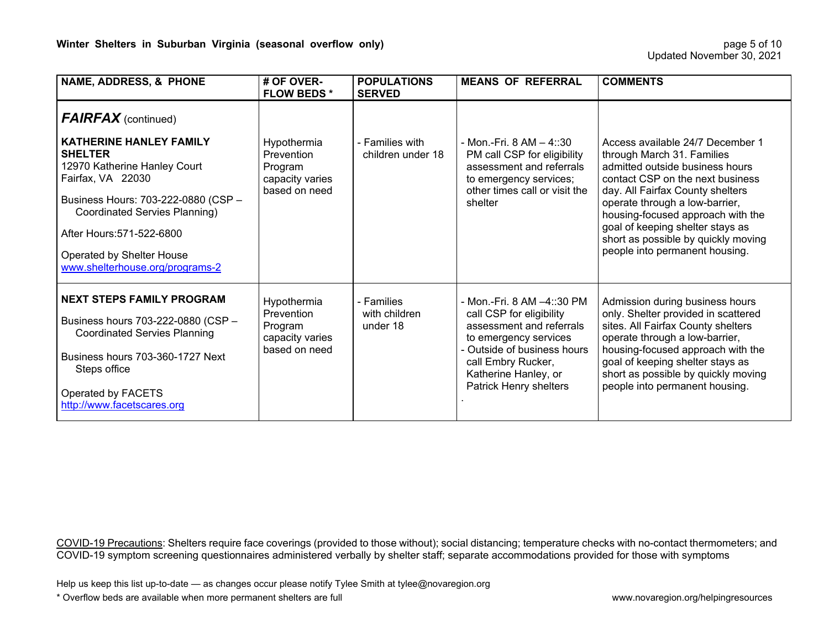| <b>NAME, ADDRESS, &amp; PHONE</b>                                                                                                                                                                                                                                          | # OF OVER-<br><b>FLOW BEDS*</b>                                          | <b>POPULATIONS</b><br><b>SERVED</b>     | <b>MEANS OF REFERRAL</b>                                                                                                                                                                                           | <b>COMMENTS</b>                                                                                                                                                                                                                                                                                                                                               |
|----------------------------------------------------------------------------------------------------------------------------------------------------------------------------------------------------------------------------------------------------------------------------|--------------------------------------------------------------------------|-----------------------------------------|--------------------------------------------------------------------------------------------------------------------------------------------------------------------------------------------------------------------|---------------------------------------------------------------------------------------------------------------------------------------------------------------------------------------------------------------------------------------------------------------------------------------------------------------------------------------------------------------|
| <b>FAIRFAX</b> (continued)                                                                                                                                                                                                                                                 |                                                                          |                                         |                                                                                                                                                                                                                    |                                                                                                                                                                                                                                                                                                                                                               |
| <b>KATHERINE HANLEY FAMILY</b><br><b>SHELTER</b><br>12970 Katherine Hanley Court<br>Fairfax, VA 22030<br>Business Hours: 703-222-0880 (CSP -<br>Coordinated Servies Planning)<br>After Hours: 571-522-6800<br>Operated by Shelter House<br>www.shelterhouse.org/programs-2 | Hypothermia<br>Prevention<br>Program<br>capacity varies<br>based on need | - Families with<br>children under 18    | - Mon.-Fri. 8 AM $-$ 4::30<br>PM call CSP for eligibility<br>assessment and referrals<br>to emergency services;<br>other times call or visit the<br>shelter                                                        | Access available 24/7 December 1<br>through March 31. Families<br>admitted outside business hours<br>contact CSP on the next business<br>day. All Fairfax County shelters<br>operate through a low-barrier,<br>housing-focused approach with the<br>goal of keeping shelter stays as<br>short as possible by quickly moving<br>people into permanent housing. |
| <b>NEXT STEPS FAMILY PROGRAM</b><br>Business hours 703-222-0880 (CSP -<br><b>Coordinated Servies Planning</b><br>Business hours 703-360-1727 Next<br>Steps office<br>Operated by FACETS<br>http://www.facetscares.org                                                      | Hypothermia<br>Prevention<br>Program<br>capacity varies<br>based on need | - Families<br>with children<br>under 18 | - Mon.-Fri. 8 AM -4::30 PM<br>call CSP for eligibility<br>assessment and referrals<br>to emergency services<br>- Outside of business hours<br>call Embry Rucker,<br>Katherine Hanley, or<br>Patrick Henry shelters | Admission during business hours<br>only. Shelter provided in scattered<br>sites. All Fairfax County shelters<br>operate through a low-barrier,<br>housing-focused approach with the<br>goal of keeping shelter stays as<br>short as possible by quickly moving<br>people into permanent housing.                                                              |

Help us keep this list up-to-date — as changes occur please notify Tylee Smith at tylee@novaregion.org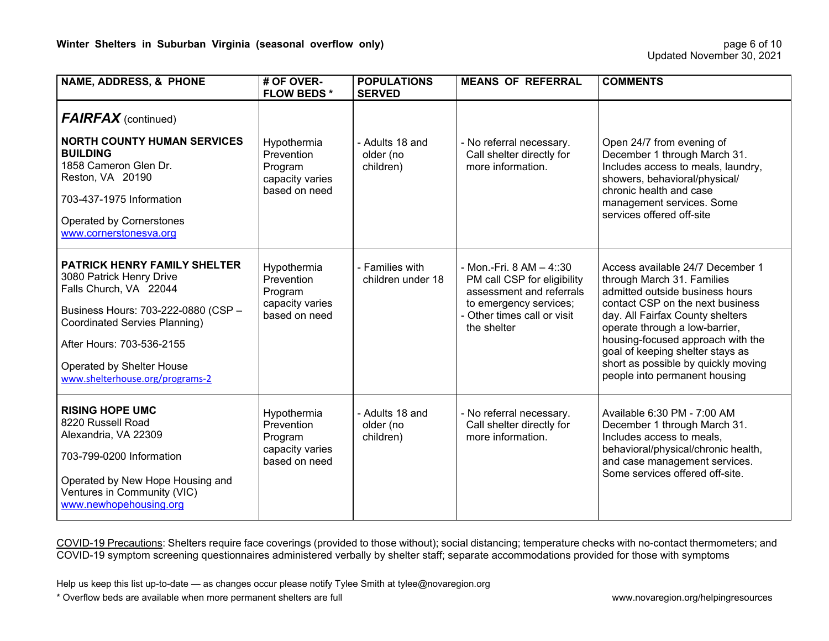| <b>NAME, ADDRESS, &amp; PHONE</b>                                                                                                                                                                                                                                     | # OF OVER-<br><b>FLOW BEDS*</b>                                          | <b>POPULATIONS</b><br><b>SERVED</b>       | <b>MEANS OF REFERRAL</b>                                                                                                                                    | <b>COMMENTS</b>                                                                                                                                                                                                                                                                                                                                              |
|-----------------------------------------------------------------------------------------------------------------------------------------------------------------------------------------------------------------------------------------------------------------------|--------------------------------------------------------------------------|-------------------------------------------|-------------------------------------------------------------------------------------------------------------------------------------------------------------|--------------------------------------------------------------------------------------------------------------------------------------------------------------------------------------------------------------------------------------------------------------------------------------------------------------------------------------------------------------|
| <b>FAIRFAX</b> (continued)<br><b>NORTH COUNTY HUMAN SERVICES</b><br><b>BUILDING</b><br>1858 Cameron Glen Dr.<br>Reston, VA 20190<br>703-437-1975 Information<br><b>Operated by Cornerstones</b><br>www.cornerstonesva.org                                             | Hypothermia<br>Prevention<br>Program<br>capacity varies<br>based on need | - Adults 18 and<br>older (no<br>children) | - No referral necessary.<br>Call shelter directly for<br>more information.                                                                                  | Open 24/7 from evening of<br>December 1 through March 31.<br>Includes access to meals, laundry,<br>showers, behavioral/physical/<br>chronic health and case<br>management services. Some<br>services offered off-site                                                                                                                                        |
| <b>PATRICK HENRY FAMILY SHELTER</b><br>3080 Patrick Henry Drive<br>Falls Church, VA 22044<br>Business Hours: 703-222-0880 (CSP -<br><b>Coordinated Servies Planning)</b><br>After Hours: 703-536-2155<br>Operated by Shelter House<br>www.shelterhouse.org/programs-2 | Hypothermia<br>Prevention<br>Program<br>capacity varies<br>based on need | - Families with<br>children under 18      | - Mon.-Fri. 8 AM - 4::30<br>PM call CSP for eligibility<br>assessment and referrals<br>to emergency services;<br>- Other times call or visit<br>the shelter | Access available 24/7 December 1<br>through March 31. Families<br>admitted outside business hours<br>contact CSP on the next business<br>day. All Fairfax County shelters<br>operate through a low-barrier,<br>housing-focused approach with the<br>goal of keeping shelter stays as<br>short as possible by quickly moving<br>people into permanent housing |
| <b>RISING HOPE UMC</b><br>8220 Russell Road<br>Alexandria, VA 22309<br>703-799-0200 Information<br>Operated by New Hope Housing and<br>Ventures in Community (VIC)<br>www.newhopehousing.org                                                                          | Hypothermia<br>Prevention<br>Program<br>capacity varies<br>based on need | - Adults 18 and<br>older (no<br>children) | - No referral necessary.<br>Call shelter directly for<br>more information.                                                                                  | Available 6:30 PM - 7:00 AM<br>December 1 through March 31.<br>Includes access to meals,<br>behavioral/physical/chronic health,<br>and case management services.<br>Some services offered off-site.                                                                                                                                                          |

Help us keep this list up-to-date — as changes occur please notify Tylee Smith at tylee@novaregion.org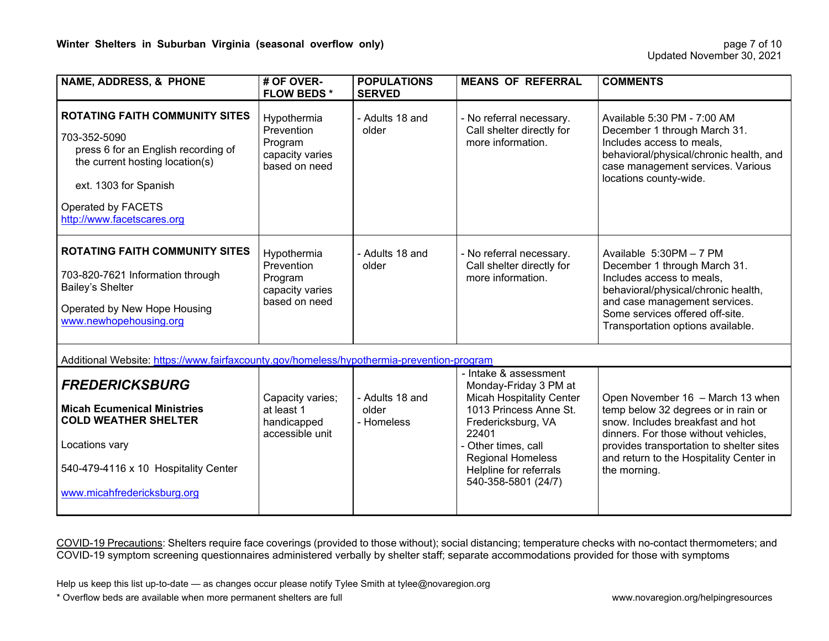| <b>NAME, ADDRESS, &amp; PHONE</b>                                                                                                                                                                            | # OF OVER-<br><b>FLOW BEDS*</b>                                          | <b>POPULATIONS</b><br><b>SERVED</b>    | <b>MEANS OF REFERRAL</b>                                                                                                                                                                                                                       | <b>COMMENTS</b>                                                                                                                                                                                                                                            |
|--------------------------------------------------------------------------------------------------------------------------------------------------------------------------------------------------------------|--------------------------------------------------------------------------|----------------------------------------|------------------------------------------------------------------------------------------------------------------------------------------------------------------------------------------------------------------------------------------------|------------------------------------------------------------------------------------------------------------------------------------------------------------------------------------------------------------------------------------------------------------|
| <b>ROTATING FAITH COMMUNITY SITES</b><br>703-352-5090<br>press 6 for an English recording of<br>the current hosting location(s)<br>ext. 1303 for Spanish<br>Operated by FACETS<br>http://www.facetscares.org | Hypothermia<br>Prevention<br>Program<br>capacity varies<br>based on need | - Adults 18 and<br>older               | - No referral necessary.<br>Call shelter directly for<br>more information.                                                                                                                                                                     | Available 5:30 PM - 7:00 AM<br>December 1 through March 31.<br>Includes access to meals,<br>behavioral/physical/chronic health, and<br>case management services. Various<br>locations county-wide.                                                         |
| <b>ROTATING FAITH COMMUNITY SITES</b><br>703-820-7621 Information through<br>Bailey's Shelter<br>Operated by New Hope Housing<br>www.newhopehousing.org                                                      | Hypothermia<br>Prevention<br>Program<br>capacity varies<br>based on need | - Adults 18 and<br>older               | - No referral necessary.<br>Call shelter directly for<br>more information.                                                                                                                                                                     | Available 5:30PM - 7 PM<br>December 1 through March 31.<br>Includes access to meals,<br>behavioral/physical/chronic health,<br>and case management services.<br>Some services offered off-site.<br>Transportation options available.                       |
| Additional Website: https://www.fairfaxcounty.gov/homeless/hypothermia-prevention-program                                                                                                                    |                                                                          |                                        |                                                                                                                                                                                                                                                |                                                                                                                                                                                                                                                            |
| <b>FREDERICKSBURG</b><br><b>Micah Ecumenical Ministries</b><br><b>COLD WEATHER SHELTER</b><br>Locations vary<br>540-479-4116 x 10 Hospitality Center<br>www.micahfredericksburg.org                          | Capacity varies;<br>at least 1<br>handicapped<br>accessible unit         | - Adults 18 and<br>older<br>- Homeless | - Intake & assessment<br>Monday-Friday 3 PM at<br><b>Micah Hospitality Center</b><br>1013 Princess Anne St.<br>Fredericksburg, VA<br>22401<br>- Other times, call<br><b>Regional Homeless</b><br>Helpline for referrals<br>540-358-5801 (24/7) | Open November 16 - March 13 when<br>temp below 32 degrees or in rain or<br>snow. Includes breakfast and hot<br>dinners. For those without vehicles,<br>provides transportation to shelter sites<br>and return to the Hospitality Center in<br>the morning. |

Help us keep this list up-to-date — as changes occur please notify Tylee Smith at tylee@novaregion.org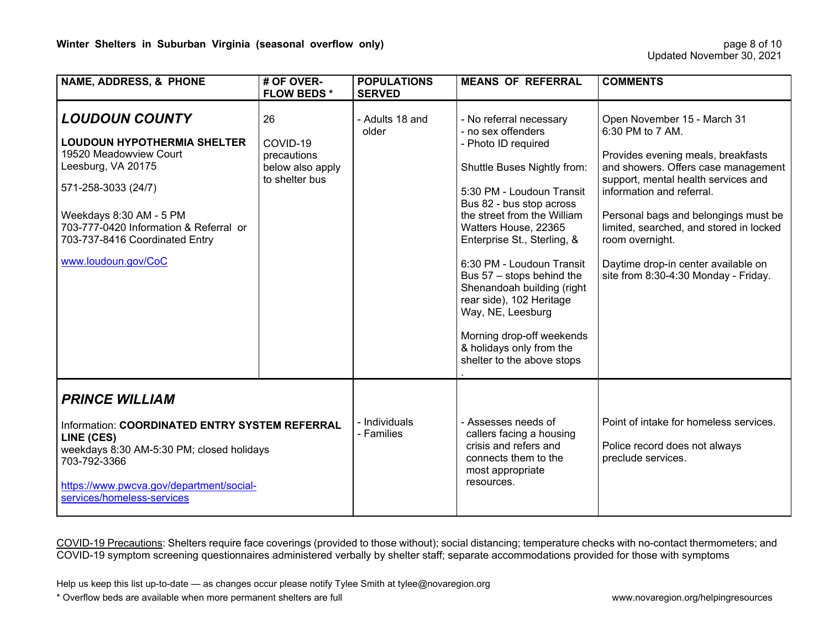| <b>NAME, ADDRESS, &amp; PHONE</b>                                                                                                                                                                                                                                | # OF OVER-<br><b>FLOW BEDS*</b>                                     | <b>POPULATIONS</b><br><b>SERVED</b> | <b>MEANS OF REFERRAL</b>                                                                                                                                                                                                                                                                                                                                                                                                                                                           | <b>COMMENTS</b>                                                                                                                                                                                                                                                                                                                                                                       |
|------------------------------------------------------------------------------------------------------------------------------------------------------------------------------------------------------------------------------------------------------------------|---------------------------------------------------------------------|-------------------------------------|------------------------------------------------------------------------------------------------------------------------------------------------------------------------------------------------------------------------------------------------------------------------------------------------------------------------------------------------------------------------------------------------------------------------------------------------------------------------------------|---------------------------------------------------------------------------------------------------------------------------------------------------------------------------------------------------------------------------------------------------------------------------------------------------------------------------------------------------------------------------------------|
| <b>LOUDOUN COUNTY</b><br><b>LOUDOUN HYPOTHERMIA SHELTER</b><br>19520 Meadowview Court<br>Leesburg, VA 20175<br>571-258-3033 (24/7)<br>Weekdays 8:30 AM - 5 PM<br>703-777-0420 Information & Referral or<br>703-737-8416 Coordinated Entry<br>www.loudoun.gov/CoC | 26<br>COVID-19<br>precautions<br>below also apply<br>to shelter bus | - Adults 18 and<br>older            | - No referral necessary<br>- no sex offenders<br>- Photo ID required<br>Shuttle Buses Nightly from:<br>5:30 PM - Loudoun Transit<br>Bus 82 - bus stop across<br>the street from the William<br>Watters House, 22365<br>Enterprise St., Sterling, &<br>6:30 PM - Loudoun Transit<br>Bus 57 - stops behind the<br>Shenandoah building (right<br>rear side), 102 Heritage<br>Way, NE, Leesburg<br>Morning drop-off weekends<br>& holidays only from the<br>shelter to the above stops | Open November 15 - March 31<br>6:30 PM to 7 AM.<br>Provides evening meals, breakfasts<br>and showers. Offers case management<br>support, mental health services and<br>information and referral.<br>Personal bags and belongings must be<br>limited, searched, and stored in locked<br>room overnight.<br>Daytime drop-in center available on<br>site from 8:30-4:30 Monday - Friday. |
| <b>PRINCE WILLIAM</b><br>Information: COORDINATED ENTRY SYSTEM REFERRAL<br>LINE (CES)<br>weekdays 8:30 AM-5:30 PM; closed holidays<br>703-792-3366<br>https://www.pwcva.gov/department/social-<br>services/homeless-services                                     |                                                                     | - Individuals<br>- Families         | - Assesses needs of<br>callers facing a housing<br>crisis and refers and<br>connects them to the<br>most appropriate<br>resources.                                                                                                                                                                                                                                                                                                                                                 | Point of intake for homeless services.<br>Police record does not always<br>preclude services.                                                                                                                                                                                                                                                                                         |

Help us keep this list up-to-date — as changes occur please notify Tylee Smith at tylee@novaregion.org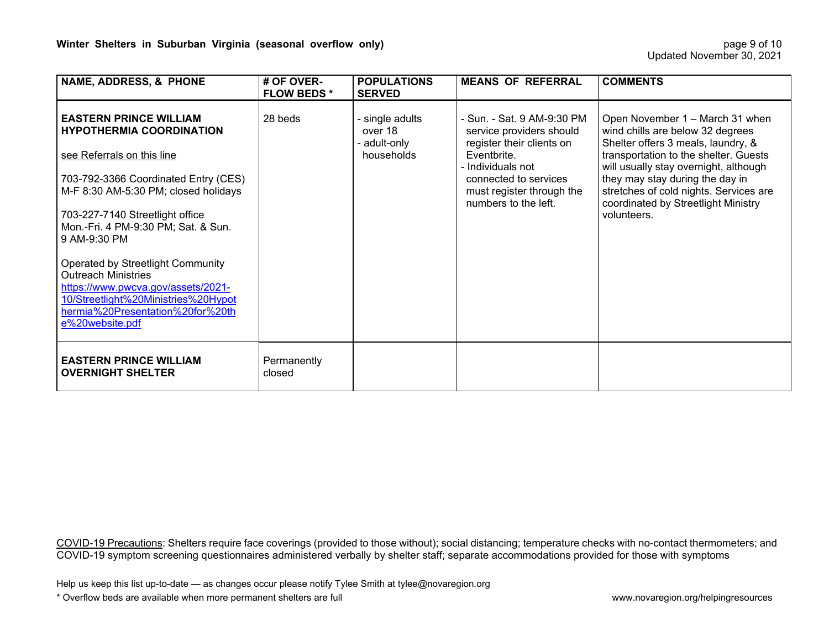| <b>NAME, ADDRESS, &amp; PHONE</b>                                                                                                                                                                                                                                                                                                                                                                                                                                               | # OF OVER-<br><b>FLOW BEDS*</b> | <b>POPULATIONS</b><br><b>SERVED</b>                      | <b>MEANS OF REFERRAL</b>                                                                                                                                                                              | <b>COMMENTS</b>                                                                                                                                                                                                                                                                                                                |
|---------------------------------------------------------------------------------------------------------------------------------------------------------------------------------------------------------------------------------------------------------------------------------------------------------------------------------------------------------------------------------------------------------------------------------------------------------------------------------|---------------------------------|----------------------------------------------------------|-------------------------------------------------------------------------------------------------------------------------------------------------------------------------------------------------------|--------------------------------------------------------------------------------------------------------------------------------------------------------------------------------------------------------------------------------------------------------------------------------------------------------------------------------|
| <b>EASTERN PRINCE WILLIAM</b><br><b>HYPOTHERMIA COORDINATION</b><br>see Referrals on this line<br>703-792-3366 Coordinated Entry (CES)<br>M-F 8:30 AM-5:30 PM; closed holidays<br>703-227-7140 Streetlight office<br>Mon.-Fri. 4 PM-9:30 PM; Sat. & Sun.<br>9 AM-9:30 PM<br>Operated by Streetlight Community<br><b>Outreach Ministries</b><br>https://www.pwcva.gov/assets/2021-<br>10/Streetlight%20Ministries%20Hypot<br>hermia%20Presentation%20for%20th<br>e%20website.pdf | 28 beds                         | - single adults<br>over 18<br>- adult-only<br>households | - Sun. - Sat. 9 AM-9:30 PM<br>service providers should<br>register their clients on<br>Eventbrite.<br>- Individuals not<br>connected to services<br>must register through the<br>numbers to the left. | Open November 1 – March 31 when<br>wind chills are below 32 degrees<br>Shelter offers 3 meals, laundry, &<br>transportation to the shelter. Guests<br>will usually stay overnight, although<br>they may stay during the day in<br>stretches of cold nights. Services are<br>coordinated by Streetlight Ministry<br>volunteers. |
| <b>EASTERN PRINCE WILLIAM</b><br><b>OVERNIGHT SHELTER</b>                                                                                                                                                                                                                                                                                                                                                                                                                       | Permanently<br>closed           |                                                          |                                                                                                                                                                                                       |                                                                                                                                                                                                                                                                                                                                |

Help us keep this list up-to-date — as changes occur please notify Tylee Smith at tylee@novaregion.org